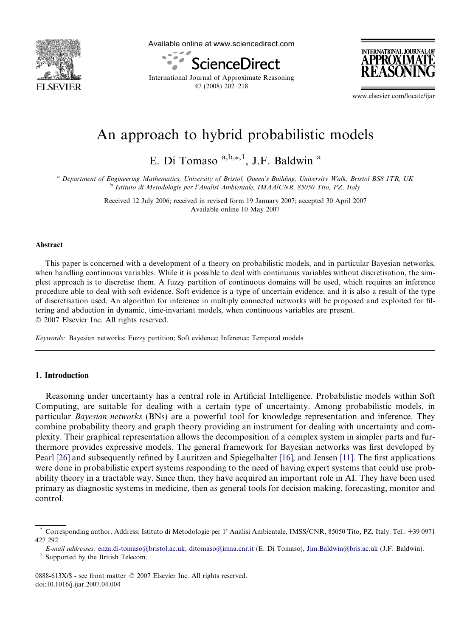

Available online at www.sciencedirect.com



International Journal of Approximate Reasoning 47 (2008) 202–218



www.elsevier.com/locate/ijar

# An approach to hybrid probabilistic models

E. Di Tomaso a,b,\*,1, J.F. Baldwin a

a Department of Engineering Mathematics, University of Bristol, Queen's Building, University Walk, Bristol BS8 1TR, UK <sup>b</sup> Istituto di Metodologie per l'Analisi Ambientale, IMAA/CNR, 85050 Tito, PZ, Italy

> Received 12 July 2006; received in revised form 19 January 2007; accepted 30 April 2007 Available online 10 May 2007

#### Abstract

This paper is concerned with a development of a theory on probabilistic models, and in particular Bayesian networks, when handling continuous variables. While it is possible to deal with continuous variables without discretisation, the simplest approach is to discretise them. A fuzzy partition of continuous domains will be used, which requires an inference procedure able to deal with soft evidence. Soft evidence is a type of uncertain evidence, and it is also a result of the type of discretisation used. An algorithm for inference in multiply connected networks will be proposed and exploited for filtering and abduction in dynamic, time-invariant models, when continuous variables are present. © 2007 Elsevier Inc. All rights reserved.

Keywords: Bayesian networks; Fuzzy partition; Soft evidence; Inference; Temporal models

## 1. Introduction

Reasoning under uncertainty has a central role in Artificial Intelligence. Probabilistic models within Soft Computing, are suitable for dealing with a certain type of uncertainty. Among probabilistic models, in particular Bayesian networks (BNs) are a powerful tool for knowledge representation and inference. They combine probability theory and graph theory providing an instrument for dealing with uncertainty and complexity. Their graphical representation allows the decomposition of a complex system in simpler parts and furthermore provides expressive models. The general framework for Bayesian networks was first developed by Pearl [\[26\]](#page-16-0) and subsequently refined by Lauritzen and Spiegelhalter [\[16\]](#page-15-0), and Jensen [\[11\].](#page-15-0) The first applications were done in probabilistic expert systems responding to the need of having expert systems that could use probability theory in a tractable way. Since then, they have acquired an important role in AI. They have been used primary as diagnostic systems in medicine, then as general tools for decision making, forecasting, monitor and control.

0888-613X/\$ - see front matter © 2007 Elsevier Inc. All rights reserved. doi:10.1016/j.ijar.2007.04.004

<sup>\*</sup> Corresponding author. Address: Istituto di Metodologie per 1' Analisi Ambientale, IMSS/CNR, 85050 Tito, PZ, Italy. Tel.: +39 0971 427 292.

E-mail addresses: [enza.di-tomaso@bristol.ac.uk,](mailto:enza.di-tomaso@bristol.ac.uk) [ditomaso@imaa.cnr.it](mailto:ditomaso@imaa.cnr.it) (E. Di Tomaso), [Jim.Baldwin@bris.ac.uk](mailto:Jim.Baldwin@bris.ac.uk) (J.F. Baldwin).<br>Supported by the British Telecom.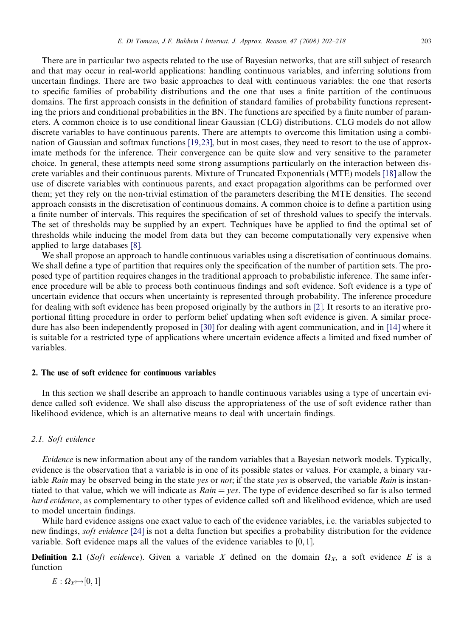There are in particular two aspects related to the use of Bayesian networks, that are still subject of research and that may occur in real-world applications: handling continuous variables, and inferring solutions from uncertain findings. There are two basic approaches to deal with continuous variables: the one that resorts to specific families of probability distributions and the one that uses a finite partition of the continuous domains. The first approach consists in the definition of standard families of probability functions representing the priors and conditional probabilities in the BN. The functions are specified by a finite number of parameters. A common choice is to use conditional linear Gaussian (CLG) distributions. CLG models do not allow discrete variables to have continuous parents. There are attempts to overcome this limitation using a combination of Gaussian and softmax functions [\[19,23\]](#page-16-0), but in most cases, they need to resort to the use of approximate methods for the inference. Their convergence can be quite slow and very sensitive to the parameter choice. In general, these attempts need some strong assumptions particularly on the interaction between discrete variables and their continuous parents. Mixture of Truncated Exponentials (MTE) models [\[18\]](#page-16-0) allow the use of discrete variables with continuous parents, and exact propagation algorithms can be performed over them; yet they rely on the non-trivial estimation of the parameters describing the MTE densities. The second approach consists in the discretisation of continuous domains. A common choice is to define a partition using a finite number of intervals. This requires the specification of set of threshold values to specify the intervals. The set of thresholds may be supplied by an expert. Techniques have be applied to find the optimal set of thresholds while inducing the model from data but they can become computationally very expensive when applied to large databases [\[8\].](#page-15-0)

We shall propose an approach to handle continuous variables using a discretisation of continuous domains. We shall define a type of partition that requires only the specification of the number of partition sets. The proposed type of partition requires changes in the traditional approach to probabilistic inference. The same inference procedure will be able to process both continuous findings and soft evidence. Soft evidence is a type of uncertain evidence that occurs when uncertainty is represented through probability. The inference procedure for dealing with soft evidence has been proposed originally by the authors in [\[2\]](#page-15-0). It resorts to an iterative proportional fitting procedure in order to perform belief updating when soft evidence is given. A similar procedure has also been independently proposed in [\[30\]](#page-16-0) for dealing with agent communication, and in [\[14\]](#page-15-0) where it is suitable for a restricted type of applications where uncertain evidence affects a limited and fixed number of variables.

# 2. The use of soft evidence for continuous variables

In this section we shall describe an approach to handle continuous variables using a type of uncertain evidence called soft evidence. We shall also discuss the appropriateness of the use of soft evidence rather than likelihood evidence, which is an alternative means to deal with uncertain findings.

#### 2.1. Soft evidence

Evidence is new information about any of the random variables that a Bayesian network models. Typically, evidence is the observation that a variable is in one of its possible states or values. For example, a binary variable Rain may be observed being in the state yes or not; if the state yes is observed, the variable Rain is instantiated to that value, which we will indicate as  $Rain = yes$ . The type of evidence described so far is also termed hard evidence, as complementary to other types of evidence called soft and likelihood evidence, which are used to model uncertain findings.

While hard evidence assigns one exact value to each of the evidence variables, i.e. the variables subjected to new findings, *soft evidence* [\[24\]](#page-16-0) is not a delta function but specifies a probability distribution for the evidence variable. Soft evidence maps all the values of the evidence variables to [0, 1].

**Definition 2.1** (Soft evidence). Given a variable X defined on the domain  $\Omega_X$ , a soft evidence E is a function

 $E: \Omega_X{\mapsto}[0,1]$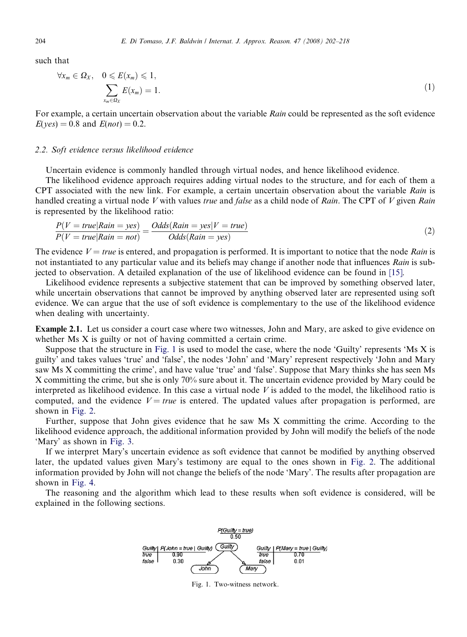such that

$$
\forall x_m \in \Omega_X, \quad 0 \leqslant E(x_m) \leqslant 1, \sum_{x_m \in \Omega_X} E(x_m) = 1.
$$
\n
$$
(1)
$$

For example, a certain uncertain observation about the variable Rain could be represented as the soft evidence  $E(yes) = 0.8$  and  $E(not) = 0.2$ .

#### 2.2. Soft evidence versus likelihood evidence

Uncertain evidence is commonly handled through virtual nodes, and hence likelihood evidence.

The likelihood evidence approach requires adding virtual nodes to the structure, and for each of them a CPT associated with the new link. For example, a certain uncertain observation about the variable Rain is handled creating a virtual node V with values true and false as a child node of Rain. The CPT of V given Rain is represented by the likelihood ratio:

$$
\frac{P(V = true | Rain = yes)}{P(V = true | Rain = not)} = \frac{Odds(Rain = yes | V = true)}{Odds(Rain = yes)}
$$
\n
$$
(2)
$$

The evidence  $V = true$  is entered, and propagation is performed. It is important to notice that the node Rain is not instantiated to any particular value and its beliefs may change if another node that influences Rain is subjected to observation. A detailed explanation of the use of likelihood evidence can be found in [\[15\]](#page-15-0).

Likelihood evidence represents a subjective statement that can be improved by something observed later, while uncertain observations that cannot be improved by anything observed later are represented using soft evidence. We can argue that the use of soft evidence is complementary to the use of the likelihood evidence when dealing with uncertainty.

Example 2.1. Let us consider a court case where two witnesses, John and Mary, are asked to give evidence on whether Ms X is guilty or not of having committed a certain crime.

Suppose that the structure in Fig. 1 is used to model the case, where the node 'Guilty' represents 'Ms X is guilty' and takes values 'true' and 'false', the nodes 'John' and 'Mary' represent respectively 'John and Mary saw Ms X committing the crime', and have value 'true' and 'false'. Suppose that Mary thinks she has seen Ms X committing the crime, but she is only 70% sure about it. The uncertain evidence provided by Mary could be interpreted as likelihood evidence. In this case a virtual node V is added to the model, the likelihood ratio is computed, and the evidence  $V = true$  is entered. The updated values after propagation is performed, are shown in [Fig. 2.](#page-3-0)

Further, suppose that John gives evidence that he saw Ms X committing the crime. According to the likelihood evidence approach, the additional information provided by John will modify the beliefs of the node 'Mary' as shown in [Fig. 3.](#page-3-0)

If we interpret Mary's uncertain evidence as soft evidence that cannot be modified by anything observed later, the updated values given Mary's testimony are equal to the ones shown in [Fig. 2.](#page-3-0) The additional information provided by John will not change the beliefs of the node 'Mary'. The results after propagation are shown in [Fig. 4.](#page-3-0)

The reasoning and the algorithm which lead to these results when soft evidence is considered, will be explained in the following sections.



Fig. 1. Two-witness network.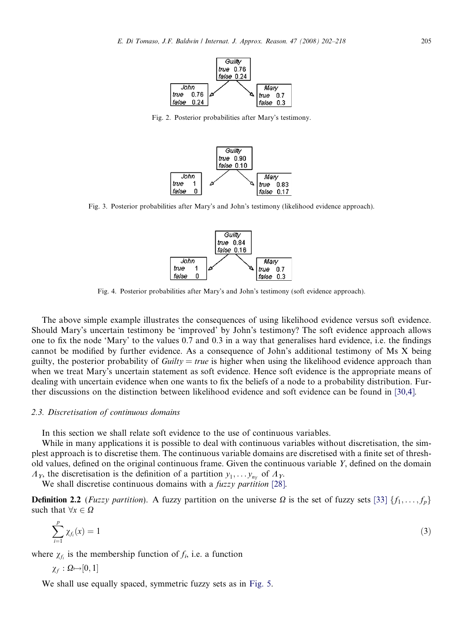<span id="page-3-0"></span>

Fig. 2. Posterior probabilities after Mary's testimony.



Fig. 3. Posterior probabilities after Mary's and John's testimony (likelihood evidence approach).



Fig. 4. Posterior probabilities after Mary's and John's testimony (soft evidence approach).

The above simple example illustrates the consequences of using likelihood evidence versus soft evidence. Should Mary's uncertain testimony be 'improved' by John's testimony? The soft evidence approach allows one to fix the node 'Mary' to the values 0.7 and 0.3 in a way that generalises hard evidence, i.e. the findings cannot be modified by further evidence. As a consequence of John's additional testimony of Ms X being guilty, the posterior probability of  $Guilty = true$  is higher when using the likelihood evidence approach than when we treat Mary's uncertain statement as soft evidence. Hence soft evidence is the appropriate means of dealing with uncertain evidence when one wants to fix the beliefs of a node to a probability distribution. Further discussions on the distinction between likelihood evidence and soft evidence can be found in [\[30,4\]](#page-16-0).

## 2.3. Discretisation of continuous domains

In this section we shall relate soft evidence to the use of continuous variables.

While in many applications it is possible to deal with continuous variables without discretisation, the simplest approach is to discretise them. The continuous variable domains are discretised with a finite set of threshold values, defined on the original continuous frame. Given the continuous variable Y, defined on the domain  $A_Y$ , the discretisation is the definition of a partition  $y_1, \ldots, y_{n_Y}$  of  $A_Y$ .

We shall discretise continuous domains with a *fuzzy partition* [\[28\]](#page-16-0).

**Definition 2.2** (Fuzzy partition). A fuzzy partition on the universe  $\Omega$  is the set of fuzzy sets [\[33\]](#page-16-0) { $f_1, \ldots, f_p$ } such that  $\forall x \in \Omega$ 

$$
\sum_{i=1}^p \chi_{f_i}(x) = 1 \tag{3}
$$

where  $\chi_f$  is the membership function of  $f_i$ , i.e. a function

$$
\chi_f: \varOmega {\mapsto} [0,1]
$$

We shall use equally spaced, symmetric fuzzy sets as in [Fig. 5](#page-4-0).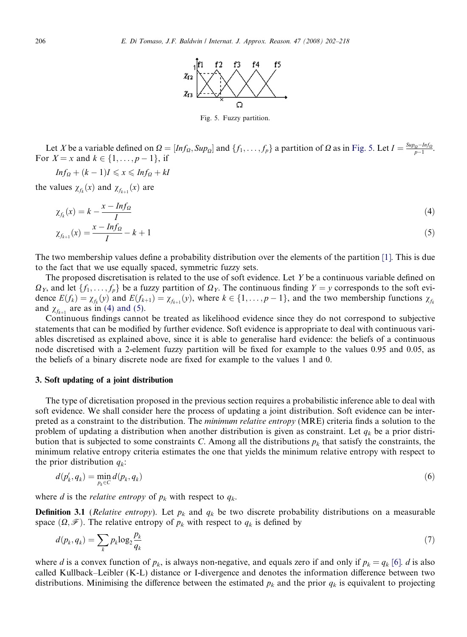

Fig. 5. Fuzzy partition.

<span id="page-4-0"></span>Let X be a variable defined on  $\Omega = [Inf_{\Omega}, Sup_{\Omega}]$  and  $\{f_1, \ldots, f_p\}$  a partition of  $\Omega$  as in Fig. 5. Let  $I = \frac{Sup_{\Omega} - Inf_{\Omega}}{p-1}$ . For  $X = x$  and  $k \in \{1, ..., p - 1\}$ , if

$$
Inf_{\Omega} + (k-1)I \leq x \leq Inf_{\Omega} + kl
$$

the values  $\chi_{f_k}(x)$  and  $\chi_{f_{k+1}}(x)$  are

$$
\chi_{f_k}(x) = k - \frac{x - Inf_{\Omega}}{I}
$$
\n
$$
\chi_{f_{k+1}}(x) = \frac{x - Inf_{\Omega}}{I} - k + 1
$$
\n(4)

The two membership values define a probability distribution over the elements of the partition [\[1\].](#page-15-0) This is due to the fact that we use equally spaced, symmetric fuzzy sets.

The proposed discretisation is related to the use of soft evidence. Let Y be a continuous variable defined on  $\Omega_Y$ , and let  $\{f_1, \ldots, f_p\}$  be a fuzzy partition of  $\Omega_Y$ . The continuous finding  $Y = y$  corresponds to the soft evidence  $E(f_k) = \chi_{f_k}(y)$  and  $E(f_{k+1}) = \chi_{f_{k+1}}(y)$ , where  $k \in \{1, \ldots, p-1\}$ , and the two membership functions  $\chi_{f_k}(y)$ and  $\chi_{f_{k+1}}$  are as in (4) and (5).

Continuous findings cannot be treated as likelihood evidence since they do not correspond to subjective statements that can be modified by further evidence. Soft evidence is appropriate to deal with continuous variables discretised as explained above, since it is able to generalise hard evidence: the beliefs of a continuous node discretised with a 2-element fuzzy partition will be fixed for example to the values 0.95 and 0.05, as the beliefs of a binary discrete node are fixed for example to the values 1 and 0.

#### 3. Soft updating of a joint distribution

The type of dicretisation proposed in the previous section requires a probabilistic inference able to deal with soft evidence. We shall consider here the process of updating a joint distribution. Soft evidence can be interpreted as a constraint to the distribution. The minimum relative entropy (MRE) criteria finds a solution to the problem of updating a distribution when another distribution is given as constraint. Let  $q_k$  be a prior distribution that is subjected to some constraints C. Among all the distributions  $p_k$  that satisfy the constraints, the minimum relative entropy criteria estimates the one that yields the minimum relative entropy with respect to the prior distribution  $q_k$ :

$$
d(p'_k, q_k) = \min_{p_k \in C} d(p_k, q_k) \tag{6}
$$

where d is the *relative entropy* of  $p_k$  with respect to  $q_k$ .

**Definition 3.1** (*Relative entropy*). Let  $p_k$  and  $q_k$  be two discrete probability distributions on a measurable space  $(\Omega, \mathcal{F})$ . The relative entropy of  $p_k$  with respect to  $q_k$  is defined by

$$
d(p_k, q_k) = \sum_k p_k \log_2 \frac{p_k}{q_k} \tag{7}
$$

where d is a convex function of  $p_k$ , is always non-negative, and equals zero if and only if  $p_k = q_k$  [\[6\]](#page-15-0). d is also called Kullback–Leibler (K-L) distance or I-divergence and denotes the information difference between two distributions. Minimising the difference between the estimated  $p_k$  and the prior  $q_k$  is equivalent to projecting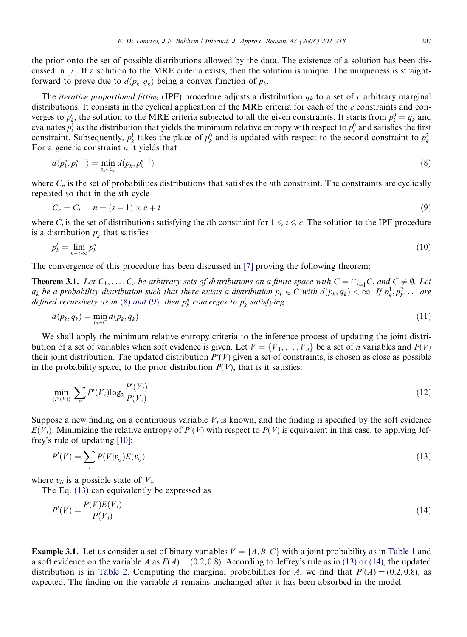<span id="page-5-0"></span>the prior onto the set of possible distributions allowed by the data. The existence of a solution has been discussed in [\[7\]](#page-15-0). If a solution to the MRE criteria exists, then the solution is unique. The uniqueness is straightforward to prove due to  $d(p_k, q_k)$  being a convex function of  $p_k$ .

The *iterative proportional fitting* (IPF) procedure adjusts a distribution  $q_k$  to a set of c arbitrary marginal distributions. It consists in the cyclical application of the MRE criteria for each of the  $c$  constraints and converges to  $p'_k$ , the solution to the MRE criteria subjected to all the given constraints. It starts from  $p_k^0 = q_k$  and evaluates  $p_k^1$  as the distribution that yields the minimum relative entropy with respect to  $p_k^0$  and satisfies the first constraint. Subsequently,  $p_k^1$  takes the place of  $p_k^0$  and is updated with respect to the second constraint to  $p_k^2$ . For a generic constraint  $n$  it yields that

$$
d(p_k^n, p_k^{n-1}) = \min_{p_k \in C_n} d(p_k, p_k^{n-1})
$$
\n(8)

where  $C_n$  is the set of probabilities distributions that satisfies the *n*th constraint. The constraints are cyclically repeated so that in the sth cycle

$$
C_n = C_i, \quad n = (s-1) \times c + i \tag{9}
$$

where  $C_i$  is the set of distributions satisfying the *i*th constraint for  $1 \leq i \leq c$ . The solution to the IPF procedure is a distribution  $p'_k$  that satisfies

$$
p'_k = \lim_{n \to \infty} p^n_k \tag{10}
$$

The convergence of this procedure has been discussed in [\[7\]](#page-15-0) proving the following theorem:

**Theorem 3.1.** Let  $C_1, \ldots, C_c$  be arbitrary sets of distributions on a finite space with  $C = \bigcap_{i=1}^c C_i$  and  $C \neq \emptyset$ . Let  $q_k$  be a probability distribution such that there exists a distribution  $p_k \in C$  with  $d(p_k, q_k) < \infty$ . If  $p_k^1, p_k^2, \ldots$  are defined recursively as in (8) and (9), then  $p_k^n$  converges to  $p_k'$  satisfying

$$
d(p'_k, q_k) = \min_{p_k \in C} d(p_k, q_k) \tag{11}
$$

We shall apply the minimum relative entropy criteria to the inference process of updating the joint distribution of a set of variables when soft evidence is given. Let  $V = \{V_1, \ldots, V_n\}$  be a set of *n* variables and  $P(V)$ their joint distribution. The updated distribution  $P'(V)$  given a set of constraints, is chosen as close as possible in the probability space, to the prior distribution  $P(V)$ , that is it satisfies:

$$
\min_{\{P'(V)\}} \sum_{V} P'(V_i) \log_2 \frac{P'(V_i)}{P(V_i)}\tag{12}
$$

Suppose a new finding on a continuous variable  $V_i$  is known, and the finding is specified by the soft evidence  $E(V_i)$ . Minimizing the relative entropy of  $P'(V)$  with respect to  $P(V)$  is equivalent in this case, to applying Jeffrey's rule of updating [\[10\]:](#page-15-0)

$$
P'(V) = \sum_{j} P(V|v_{ij}) E(v_{ij}) \tag{13}
$$

where  $v_{ii}$  is a possible state of  $V_i$ .

The Eq. (13) can equivalently be expressed as

$$
P'(V) = \frac{P(V)E(V_i)}{P(V_i)}\tag{14}
$$

**Example 3.1.** Let us consider a set of binary variables  $V = \{A, B, C\}$  with a joint probability as in [Table 1](#page-6-0) and a soft evidence on the variable A as  $E(A) = (0.2, 0.8)$ . According to Jeffrey's rule as in (13) or (14), the updated distribution is in [Table 2](#page-6-0). Computing the marginal probabilities for A, we find that  $P'(A) = (0.2, 0.8)$ , as expected. The finding on the variable  $A$  remains unchanged after it has been absorbed in the model.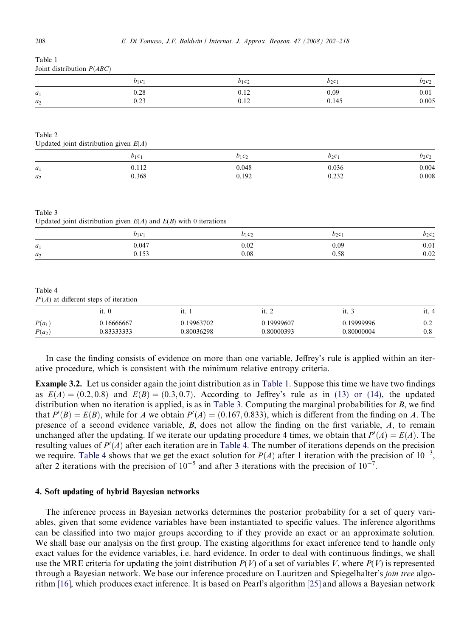| Joint distribution $P(ABC)$                        |                                                                      |          |          |          |
|----------------------------------------------------|----------------------------------------------------------------------|----------|----------|----------|
|                                                    | $b_1c_1$                                                             | $b_1c_2$ | $b_2c_1$ | $b_2c_2$ |
| $a_1$                                              | 0.28                                                                 | 0.12     | 0.09     | 0.01     |
| $a_2$                                              | 0.23                                                                 | 0.12     | 0.145    | 0.005    |
| Table 2                                            |                                                                      |          |          |          |
| Updated joint distribution given $E(A)$            |                                                                      |          |          |          |
|                                                    | $b_1c_1$                                                             | $b_1c_2$ | $b_2c_1$ | $b_2c_2$ |
| $a_1$                                              | 0.112                                                                | 0.048    | 0.036    | 0.004    |
| $a_2$                                              | 0.368                                                                | 0.192    | 0.232    | 0.008    |
| Table 3                                            | Updated joint distribution given $E(A)$ and $E(B)$ with 0 iterations |          |          |          |
|                                                    | $b_1c_1$                                                             | $b_1c_2$ | $b_2c_1$ | $b_2c_2$ |
| $a_1$                                              | 0.047                                                                | 0.02     | 0.09     | 0.01     |
| $a_2$                                              | 0.153                                                                | $0.08\,$ | 0.58     | $0.02\,$ |
| Table 4<br>$P'(A)$ at different steps of iteration |                                                                      |          |          |          |

|          | 11.                       | $\mathbf{u}$ | .          | 1 L.       | .            |
|----------|---------------------------|--------------|------------|------------|--------------|
| $P(a_1)$ | 16666667                  | 19963702     | 19999607   | 19999996   | $_{\rm 0.2}$ |
| $P(a_2)$ | 0.222222<br>- پ ف ف ف پ . | 0.80036298   | J.8000039? | 0.80000004 | $_{0.8}$     |

In case the finding consists of evidence on more than one variable, Jeffrey's rule is applied within an iterative procedure, which is consistent with the minimum relative entropy criteria.

Example 3.2. Let us consider again the joint distribution as in Table 1. Suppose this time we have two findings as  $E(A) = (0.2, 0.8)$  and  $E(B) = (0.3, 0.7)$ . According to Jeffrey's rule as in [\(13\) or \(14\),](#page-5-0) the updated distribution when no iteration is applied, is as in Table 3. Computing the marginal probabilities for  $B$ , we find that  $P'(B) = E(B)$ , while for A we obtain  $P'(A) = (0.167, 0.833)$ , which is different from the finding on A. The presence of a second evidence variable, B, does not allow the finding on the first variable, A, to remain unchanged after the updating. If we iterate our updating procedure 4 times, we obtain that  $P'(A) = E(A)$ . The resulting values of  $P'(A)$  after each iteration are in Table 4. The number of iterations depends on the precision we require. Table 4 shows that we get the exact solution for  $P(A)$  after 1 iteration with the precision of  $10^{-3}$ , after 2 iterations with the precision of  $10^{-5}$  and after 3 iterations with the precision of  $10^{-7}$ .

#### 4. Soft updating of hybrid Bayesian networks

The inference process in Bayesian networks determines the posterior probability for a set of query variables, given that some evidence variables have been instantiated to specific values. The inference algorithms can be classified into two major groups according to if they provide an exact or an approximate solution. We shall base our analysis on the first group. The existing algorithms for exact inference tend to handle only exact values for the evidence variables, i.e. hard evidence. In order to deal with continuous findings, we shall use the MRE criteria for updating the joint distribution  $P(V)$  of a set of variables V, where  $P(V)$  is represented through a Bayesian network. We base our inference procedure on Lauritzen and Spiegelhalter's join tree algorithm [\[16\],](#page-15-0) which produces exact inference. It is based on Pearl's algorithm [\[25\]](#page-16-0) and allows a Bayesian network

<span id="page-6-0"></span>Table 1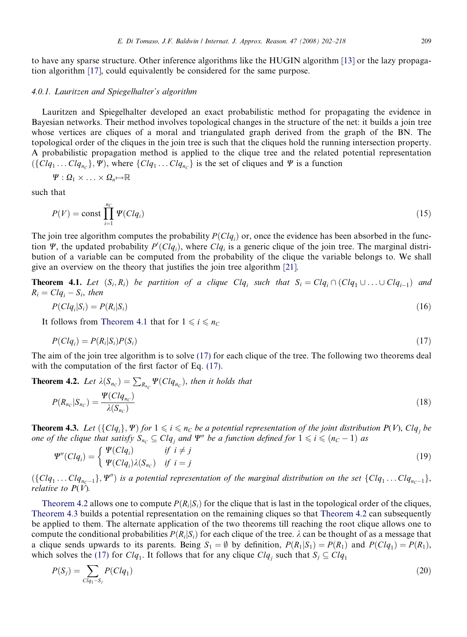<span id="page-7-0"></span>to have any sparse structure. Other inference algorithms like the HUGIN algorithm [\[13\]](#page-15-0) or the lazy propagation algorithm [\[17\],](#page-15-0) could equivalently be considered for the same purpose.

### 4.0.1. Lauritzen and Spiegelhalter's algorithm

Lauritzen and Spiegelhalter developed an exact probabilistic method for propagating the evidence in Bayesian networks. Their method involves topological changes in the structure of the net: it builds a join tree whose vertices are cliques of a moral and triangulated graph derived from the graph of the BN. The topological order of the cliques in the join tree is such that the cliques hold the running intersection property. A probabilistic propagation method is applied to the clique tree and the related potential representation  $(\{\tilde{Cl}q_1 \dots Clq_{nc}\}\, \tilde{\mathcal{Y}})$ , where  $\{Clq_1 \dots Clq_{nc}\}$  is the set of cliques and  $\Psi$  is a function

$$
\Psi: \Omega_1 \times \ldots \times \Omega_n \mapsto \mathbb{R}
$$

such that

$$
P(V) = \text{const} \prod_{i=1}^{nc} \Psi(Clq_i)
$$
\n<sup>(15)</sup>

The join tree algorithm computes the probability  $P(Clq_i)$  or, once the evidence has been absorbed in the function  $\Psi$ , the updated probability  $P'(Clq_i)$ , where  $Clq_i$  is a generic clique of the join tree. The marginal distribution of a variable can be computed from the probability of the clique the variable belongs to. We shall give an overview on the theory that justifies the join tree algorithm [\[21\].](#page-16-0)

**Theorem 4.1.** Let  $(S_i, R_i)$  be partition of a clique  $Clq_i$  such that  $S_i = Clq_i \cap (Clq_1 \cup ... \cup Clq_{i-1})$  and  $R_i = Clq_i - S_i$ , then

$$
P(Clq_i|S_i) = P(R_i|S_i) \tag{16}
$$

It follows from Theorem 4.1 that for  $1 \le i \le n_C$ 

$$
P(Clq_i) = P(R_i|S_i)P(S_i)
$$
\n<sup>(17)</sup>

The aim of the join tree algorithm is to solve (17) for each clique of the tree. The following two theorems deal with the computation of the first factor of Eq. (17).

**Theorem 4.2.** Let 
$$
\lambda(S_{n_C}) = \sum_{R_{n_C}} \Psi(Clq_{n_C})
$$
, then it holds that  

$$
P(R_{n_C}|S_{n_C}) = \frac{\Psi(Clq_{n_C})}{\lambda(S_{n_C})}
$$
(18)

**Theorem 4.3.** Let  $(\{Clq_i\}, \Psi)$  for  $1 \leq i \leq n_C$  be a potential representation of the joint distribution  $P(V)$ ,  $Clq_j$  be one of the clique that satisfy  $S_{n_C} \subseteq Clq_j$  and  $\Psi''$  be a function defined for  $1 \leq i \leq (n_C - 1)$  as

$$
\Psi''(Clq_i) = \begin{cases} \Psi(Clq_i) & \text{if } i \neq j \\ \Psi(Clq_i)\lambda(S_{n_C}) & \text{if } i = j \end{cases} \tag{19}
$$

 $(\{Clq_1 \ldots Clq_{n_c-1}\}, \Psi'')$  is a potential representation of the marginal distribution on the set  $\{Clq_1 \ldots Clq_{n_c-1}\},$ relative to  $P(V)$ .

Theorem 4.2 allows one to compute  $P(R_i|S_i)$  for the clique that is last in the topological order of the cliques, Theorem 4.3 builds a potential representation on the remaining cliques so that Theorem 4.2 can subsequently be applied to them. The alternate application of the two theorems till reaching the root clique allows one to compute the conditional probabilities  $P(R_i|S_i)$  for each clique of the tree.  $\lambda$  can be thought of as a message that a clique sends upwards to its parents. Being  $S_1 = \emptyset$  by definition,  $P(R_1|S_1) = P(R_1)$  and  $P(Cl_1) = P(R_1)$ , which solves the (17) for  $Clq_1$ . It follows that for any clique  $Clq_i$  such that  $S_j \subseteq Clq_1$ 

$$
P(S_j) = \sum_{Clq_1 - S_j} P(Clq_1)
$$
\n(20)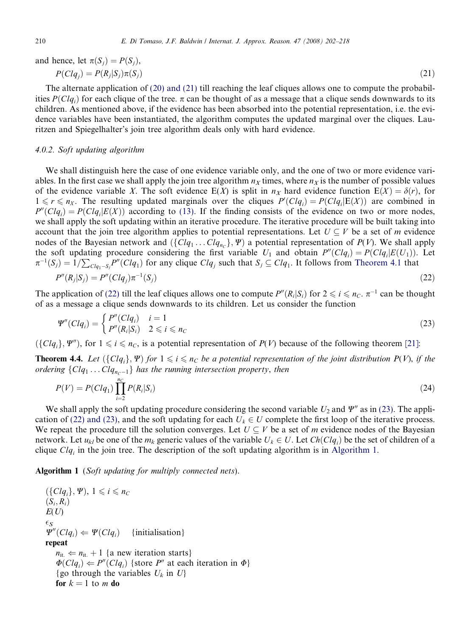<span id="page-8-0"></span>and hence, let 
$$
\pi(S_j) = P(S_j)
$$
,  
\n
$$
P(Clq_j) = P(R_j|S_j)\pi(S_j)
$$
\n(21)

The alternate application of [\(20\) and \(21\)](#page-7-0) till reaching the leaf cliques allows one to compute the probabilities  $P(Clq_i)$  for each clique of the tree.  $\pi$  can be thought of as a message that a clique sends downwards to its children. As mentioned above, if the evidence has been absorbed into the potential representation, i.e. the evidence variables have been instantiated, the algorithm computes the updated marginal over the cliques. Lauritzen and Spiegelhalter's join tree algorithm deals only with hard evidence.

## 4.0.2. Soft updating algorithm

We shall distinguish here the case of one evidence variable only, and the one of two or more evidence variables. In the first case we shall apply the join tree algorithm  $n<sub>X</sub>$  times, where  $n<sub>X</sub>$  is the number of possible values of the evidence variable X. The soft evidence  $E(X)$  is split in  $n<sub>X</sub>$  hard evidence function  $E(X) = \delta(r)$ , for  $1 \le r \le n_X$ . The resulting updated marginals over the cliques  $P'(Clq_i) = P(Clq_i|E(X))$  are combined in  $P''(Clq_i) = P(Clq_i|E(X))$  according to [\(13\)](#page-5-0). If the finding consists of the evidence on two or more nodes, we shall apply the soft updating within an iterative procedure. The iterative procedure will be built taking into account that the join tree algorithm applies to potential representations. Let  $U \subseteq V$  be a set of m evidence nodes of the Bayesian network and  $\{Clq_1 \ldots Clq_{nc}\}\;$   $\Psi$ ) a potential representation of  $P(V)$ . We shall apply the soft updating procedure considering the first variable  $U_1$  and obtain  $P''(Clq_i) = P(Clq_i|E(U_1))$ . Let  $\pi^{-1}(S_j) = 1/\sum$  $_{Clq_1-S_j}P''(Clq_1)$  for any clique  $Clq_j$  such that  $S_j \subseteq Clq_1$ . It follows from [Theorem 4.1](#page-7-0) that

$$
P''(R_j|S_j) = P''(Clq_j)\pi^{-1}(S_j)
$$
\n(22)

The application of (22) till the leaf cliques allows one to compute  $P''(R_i|S_i)$  for  $2 \le i \le n_C$ .  $\pi^{-1}$  can be thought of as a message a clique sends downwards to its children. Let us consider the function

$$
\Psi''(Clq_i) = \begin{cases} P''(Clq_i) & i = 1\\ P''(R_i|S_i) & 2 \leqslant i \leqslant n_C \end{cases} \tag{23}
$$

 $({Clq<sub>i</sub>}, \Psi'')$ , for  $1 \leq i \leq n_C$ , is a potential representation of  $P(V)$  because of the following theorem [\[21\]:](#page-16-0)

**Theorem 4.4.** Let  $\{Clq_i\}$ ,  $\Psi$ ) for  $1 \leq i \leq n_c$  be a potential representation of the joint distribution  $P(V)$ , if the ordering  ${Clq_1 \dots Clq_{nc-1}}$  has the running intersection property, then

$$
P(V) = P(Clq_1) \prod_{i=2}^{n_C} P(R_i|S_i)
$$
\n(24)

We shall apply the soft updating procedure considering the second variable  $U_2$  and  $\Psi''$  as in (23). The application of (22) and (23), and the soft updating for each  $U_k \in U$  complete the first loop of the iterative process. We repeat the procedure till the solution converges. Let  $U \subseteq V$  be a set of m evidence nodes of the Bayesian network. Let  $u_{kl}$  be one of the  $m_k$  generic values of the variable  $U_k \in U$ . Let  $Ch(Clq_i)$  be the set of children of a clique  $Clq_i$  in the join tree. The description of the soft updating algorithm is in Algorithm 1.

Algorithm 1 (Soft updating for multiply connected nets).

$$
(\{Clq_i\}, \Psi), 1 \le i \le n_C
$$
  
\n
$$
(S_i, R_i)
$$
  
\n
$$
E(U)
$$
  
\n
$$
\xi_S
$$
  
\n
$$
\Psi''(Clq_i) \Leftarrow \Psi(Clq_i)
$$
 {initialisation}  
\nrepeat  
\n
$$
n_{\text{it.}} \Leftarrow n_{\text{it.}} + 1 \{ \text{a new iteration starts} \}
$$
  
\n
$$
\Phi(Clq_i) \Leftarrow P''(Clq_i) \{ \text{store } P'' \text{ at each iteration in } \Phi \}
$$
  
\n{go through the variables  $U_k$  in  $U \}$   
\nfor  $k = 1$  to  $m$  do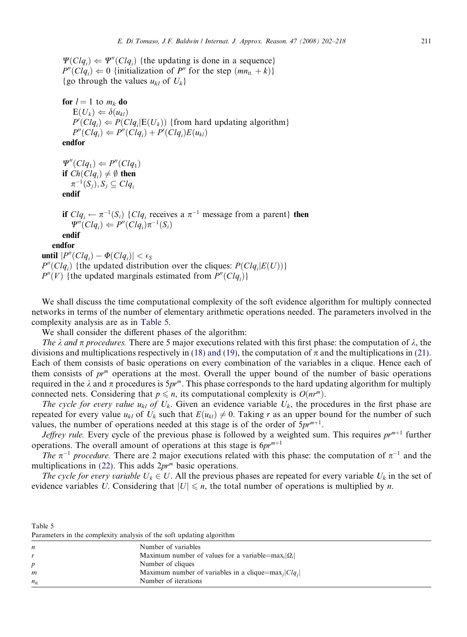for  $l = 1$  to  $m_k$  do  $E(U_k) \Leftarrow \delta(u_{kl})$  $P'(Clq_i) \leftarrow P(Clq_i|E(U_k))$  {from hard updating algorithm}  $P''(Clq_i) \leftarrow P''(Clq_i) + P'(Clq_i)E(u_{kl})$ endfor

 $\Psi''(Clq_1) \Leftarrow P''(Clq_1)$ if  $Ch(Clq_i) \neq \emptyset$  then  $\pi^{-1}(S_i), S_i \subseteq Clq_i$ endif

if  $Clq_i \leftarrow \pi^{-1}(S_i) \{Clq_i \text{ receives a } \pi^{-1} \text{ message from a parent} \}$  then  $\Psi''(Clq_i) \leftarrow P''(Clq_i)\pi^{-1}(S_i)$ endif endfor until  $|P''(Clq_i) - \Phi(Clq_i)| < \epsilon_S$ 

 $P''(Clq_i)$  {the updated distribution over the cliques:  $P(Clq_i|E(U))$ }

 $P''(V)$  {the updated marginals estimated from  $P''(Clq_i)$ }

We shall discuss the time computational complexity of the soft evidence algorithm for multiply connected networks in terms of the number of elementary arithmetic operations needed. The parameters involved in the complexity analysis are as in Table 5.

We shall consider the different phases of the algorithm:

The  $\lambda$  and  $\pi$  procedures. There are 5 major executions related with this first phase: the computation of  $\lambda$ , the divisions and multiplications respectively in [\(18\) and \(19\)](#page-7-0), the computation of  $\pi$  and the multiplications in [\(21\)](#page-8-0). Each of them consists of basic operations on every combination of the variables in a clique. Hence each of them consists of  $pr^m$  operations at the most. Overall the upper bound of the number of basic operations required in the  $\lambda$  and  $\pi$  procedures is  $5pr^m$ . This phase corresponds to the hard updating algorithm for multiply connected nets. Considering that  $p \leq n$ , its computational complexity is  $O(n r^m)$ .

The cycle for every value  $u_{kl}$  of  $U_k$ . Given an evidence variable  $U_k$ , the procedures in the first phase are repeated for every value  $u_{kl}$  of  $U_k$  such that  $E(u_{kl}) \neq 0$ . Taking r as an upper bound for the number of such values, the number of operations needed at this stage is of the order of  $5pr^{m+1}$ .

Jeffrey rule. Every cycle of the previous phase is followed by a weighted sum. This requires  $pr^{m+1}$  further operations. The overall amount of operations at this stage is  $6pr^{m+1}$ 

The  $\pi^{-1}$  procedure. There are 2 major executions related with this phase: the computation of  $\pi^{-1}$  and the multiplications in [\(22\).](#page-8-0) This adds  $2pr<sup>m</sup>$  basic operations.

The cycle for every variable  $U_k \in U$ . All the previous phases are repeated for every variable  $U_k$  in the set of evidence variables U. Considering that  $|U| \le n$ , the total number of operations is multiplied by n.

| ותו |  |
|-----|--|
|-----|--|

Parameters in the complexity analysis of the soft updating algorithm

| n            | Number of variables                                                        |
|--------------|----------------------------------------------------------------------------|
|              | Maximum number of values for a variable=max <sub>i</sub> $ Q_i $           |
| D            | Number of cliques                                                          |
| m            | Maximum number of variables in a clique=max <sub>i</sub>  Clq <sub>i</sub> |
| $n_{\rm it}$ | Number of iterations                                                       |
|              |                                                                            |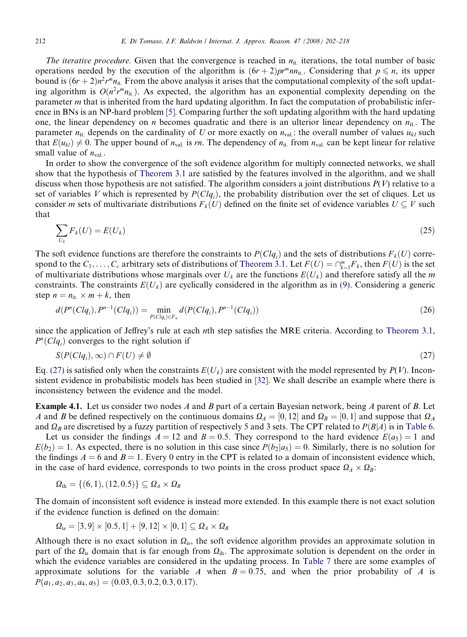The iterative procedure. Given that the convergence is reached in  $n_{it}$  iterations, the total number of basic operations needed by the execution of the algorithm is  $(6r + 2)p^{m}m_{1i}$ . Considering that  $p \le n$ , its upper bound is  $(6r + 2)n^2r^m n_{it}$ . From the above analysis it arises that the computational complexity of the soft updating algorithm is  $O(n^2r^mn_{\text{it}})$ . As expected, the algorithm has an exponential complexity depending on the parameter m that is inherited from the hard updating algorithm. In fact the computation of probabilistic inference in BNs is an NP-hard problem [\[5\].](#page-15-0) Comparing further the soft updating algorithm with the hard updating one, the linear dependency on *n* becomes quadratic and there is an ulterior linear dependency on  $n_{it}$ . The parameter  $n_{it}$ , depends on the cardinality of U or more exactly on  $n_{val}$ : the overall number of values  $u_{kl}$  such that  $E(u_{kl}) \neq 0$ . The upper bound of  $n_{val}$  is rn. The dependency of  $n_{it}$  from  $n_{val}$  can be kept linear for relative small value of  $n_{\text{val}}$ .

In order to show the convergence of the soft evidence algorithm for multiply connected networks, we shall show that the hypothesis of [Theorem 3.1](#page-5-0) are satisfied by the features involved in the algorithm, and we shall discuss when those hypothesis are not satisfied. The algorithm considers a joint distributions  $P(V)$  relative to a set of variables V which is represented by  $P(Clq_i)$ , the probability distribution over the set of cliques. Let us consider m sets of multivariate distributions  $F_k(U)$  defined on the finite set of evidence variables  $U \subseteq V$  such that

$$
\sum_{U_k} F_k(U) = E(U_k) \tag{25}
$$

The soft evidence functions are therefore the constraints to  $P(Clq_i)$  and the sets of distributions  $F_k(U)$  correspond to the  $C_1, \ldots, C_c$  arbitrary sets of distributions of [Theorem 3.1](#page-5-0). Let  $F(U) = \bigcap_{k=1}^m F_k$ , then  $F(U)$  is the set of multivariate distributions whose marginals over  $U_k$  are the functions  $E(U_k)$  and therefore satisfy all the m constraints. The constraints  $E(U_k)$  are cyclically considered in the algorithm as in [\(9\)](#page-5-0). Considering a generic step  $n = n_{it} \times m + k$ , then

$$
d(P^n(Clq_i), P^{n-1}(Clq_i)) = \min_{P(Clq_i)\in F_n} d(P(Clq_i), P^{n-1}(Clq_i))
$$
\n(26)

since the application of Jeffrey's rule at each nth step satisfies the MRE criteria. According to [Theorem 3.1,](#page-5-0)  $P<sup>n</sup>(Clq<sub>i</sub>)$  converges to the right solution if

$$
S(P(Clq_i),\infty) \cap F(U) \neq \emptyset
$$
\n
$$
(27)
$$

Eq. (27) is satisfied only when the constraints  $E(U_k)$  are consistent with the model represented by  $P(V)$ . Inconsistent evidence in probabilistic models has been studied in [\[32\]](#page-16-0). We shall describe an example where there is inconsistency between the evidence and the model.

**Example 4.1.** Let us consider two nodes A and B part of a certain Bayesian network, being A parent of B. Let A and B be defined respectively on the continuous domains  $\Omega_A = [0, 12]$  and  $\Omega_B = [0, 1]$  and suppose that  $\Omega_A$ and  $\Omega_B$  are discretised by a fuzzy partition of respectively 5 and 3 sets. The CPT related to  $P(B|A)$  is in [Table 6.](#page-11-0)

Let us consider the findings  $A = 12$  and  $B = 0.5$ . They correspond to the hard evidence  $E(a_5) = 1$  and  $E(b_2) = 1$ . As expected, there is no solution in this case since  $P(b_2|a_5) = 0$ . Similarly, there is no solution for the findings  $A = 6$  and  $B = 1$ . Every 0 entry in the CPT is related to a domain of inconsistent evidence which, in the case of hard evidence, corresponds to two points in the cross product space  $\Omega_A \times \Omega_B$ :

$$
\Omega_{\text{ih}} = \{(6,1),(12,0.5)\} \subseteq \Omega_A \times \Omega_B
$$

The domain of inconsistent soft evidence is instead more extended. In this example there is not exact solution if the evidence function is defined on the domain:

$$
\Omega_{\mathrm{is}}=[3,9]\times[0.5,1]+[9,12]\times[0,1]\subseteq\Omega_{\mathrm{A}}\times\Omega_{\mathrm{B}}
$$

Although there is no exact solution in  $\Omega_{is}$ , the soft evidence algorithm provides an approximate solution in part of the  $\Omega_{is}$  domain that is far enough from  $\Omega_{ih}$ . The approximate solution is dependent on the order in which the evidence variables are considered in the updating process. In [Table 7](#page-11-0) there are some examples of approximate solutions for the variable A when  $B = 0.75$ , and when the prior probability of A is  $P(a_1, a_2, a_3, a_4, a_5) = (0.03, 0.3, 0.2, 0.3, 0.17).$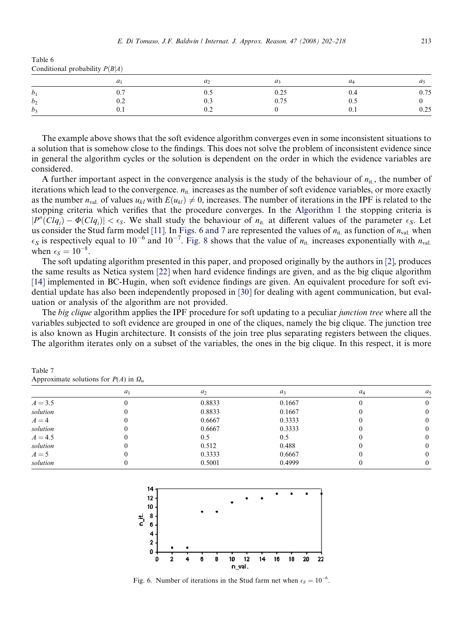<span id="page-11-0"></span>

| Table 6                          |  |
|----------------------------------|--|
| Conditional probability $P(B A)$ |  |

|                | a <sub>1</sub>          | a <sub>2</sub> |      |      | us           |
|----------------|-------------------------|----------------|------|------|--------------|
| b <sub>1</sub> | υ.,                     | U.)            | 0.25 | 0.4  | 75<br>v. / J |
| b <sub>2</sub> | $\mathsf{v}.\mathsf{v}$ | 0.3            | 0.75 | v. J |              |
| b <sub>3</sub> | $v \cdot r$             | $_{0.2}$       |      | 0.1  | $v \sim$     |

The example above shows that the soft evidence algorithm converges even in some inconsistent situations to a solution that is somehow close to the findings. This does not solve the problem of inconsistent evidence since in general the algorithm cycles or the solution is dependent on the order in which the evidence variables are considered.

A further important aspect in the convergence analysis is the study of the behaviour of  $n_{it}$ , the number of iterations which lead to the convergence.  $n_{it.}$  increases as the number of soft evidence variables, or more exactly as the number  $n_{val}$  of values  $u_{kl}$  with  $E(u_{kl}) \neq 0$ , increases. The number of iterations in the IPF is related to the stopping criteria which verifies that the procedure converges. In the [Algorithm 1](#page-8-0) the stopping criteria is  $|P''(Clq_i) - \Phi(Clq_i)| < \epsilon_s$ . We shall study the behaviour of  $n_{it}$  at different values of the parameter  $\epsilon_s$ . Let us consider the Stud farm model [\[11\].](#page-15-0) In Figs. 6 and 7 are represented the values of  $n_{\text{it}}$  as function of  $n_{\text{val}}$  when  $\epsilon_S$  is respectively equal to 10<sup>-6</sup> and 10<sup>-7</sup>. [Fig. 8](#page-12-0) shows that the value of  $n_{\rm it}$  increases exponentially with  $n_{\rm val}$ when  $\epsilon_S = 10^{-8}$ .

The soft updating algorithm presented in this paper, and proposed originally by the authors in [\[2\],](#page-15-0) produces the same results as Netica system [\[22\]](#page-16-0) when hard evidence findings are given, and as the big clique algorithm [\[14\]](#page-15-0) implemented in BC-Hugin, when soft evidence findings are given. An equivalent procedure for soft evidential update has also been independently proposed in [\[30\]](#page-16-0) for dealing with agent communication, but evaluation or analysis of the algorithm are not provided.

The big clique algorithm applies the IPF procedure for soft updating to a peculiar junction tree where all the variables subjected to soft evidence are grouped in one of the cliques, namely the big clique. The junction tree is also known as Hugin architecture. It consists of the join tree plus separating registers between the cliques. The algorithm iterates only on a subset of the variables, the ones in the big clique. In this respect, it is more

Table 7 Approximate solutions for  $P(A)$  in  $\Omega_{\text{is}}$ 

|           | $a_1$ | $a_2$  | $a_3$  | $a_4$ | $\mathfrak{a}$ |
|-----------|-------|--------|--------|-------|----------------|
| $A = 3.5$ |       | 0.8833 | 0.1667 |       |                |
| solution  |       | 0.8833 | 0.1667 |       |                |
| $A=4$     |       | 0.6667 | 0.3333 |       | 0              |
| solution  |       | 0.6667 | 0.3333 |       | 0              |
| $A = 4.5$ |       | 0.5    | 0.5    |       | $^{(1)}$       |
| solution  |       | 0.512  | 0.488  |       | $\Omega$       |
| $A=5$     |       | 0.3333 | 0.6667 |       |                |
| solution  |       | 0.5001 | 0.4999 |       | 0              |



Fig. 6. Number of iterations in the Stud farm net when  $\epsilon_s = 10^{-6}$ .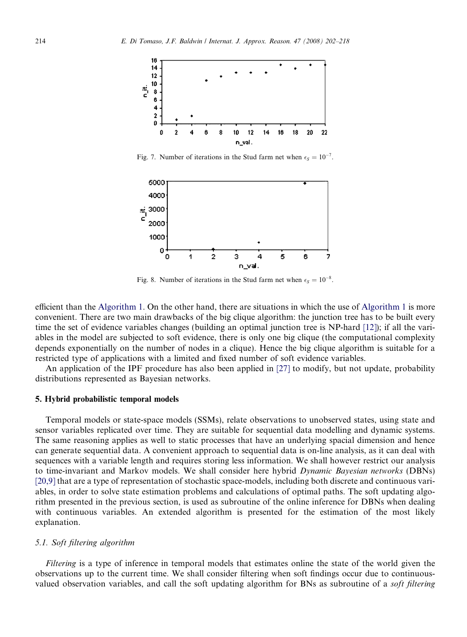<span id="page-12-0"></span>

Fig. 7. Number of iterations in the Stud farm net when  $\epsilon_s = 10^{-7}$ .



Fig. 8. Number of iterations in the Stud farm net when  $\epsilon_s = 10^{-8}$ .

efficient than the [Algorithm 1.](#page-8-0) On the other hand, there are situations in which the use of [Algorithm 1](#page-8-0) is more convenient. There are two main drawbacks of the big clique algorithm: the junction tree has to be built every time the set of evidence variables changes (building an optimal junction tree is NP-hard [\[12\]\)](#page-15-0); if all the variables in the model are subjected to soft evidence, there is only one big clique (the computational complexity depends exponentially on the number of nodes in a clique). Hence the big clique algorithm is suitable for a restricted type of applications with a limited and fixed number of soft evidence variables.

An application of the IPF procedure has also been applied in [\[27\]](#page-16-0) to modify, but not update, probability distributions represented as Bayesian networks.

#### 5. Hybrid probabilistic temporal models

Temporal models or state-space models (SSMs), relate observations to unobserved states, using state and sensor variables replicated over time. They are suitable for sequential data modelling and dynamic systems. The same reasoning applies as well to static processes that have an underlying spacial dimension and hence can generate sequential data. A convenient approach to sequential data is on-line analysis, as it can deal with sequences with a variable length and requires storing less information. We shall however restrict our analysis to time-invariant and Markov models. We shall consider here hybrid Dynamic Bayesian networks (DBNs) [\[20,9\]](#page-16-0) that are a type of representation of stochastic space-models, including both discrete and continuous variables, in order to solve state estimation problems and calculations of optimal paths. The soft updating algorithm presented in the previous section, is used as subroutine of the online inference for DBNs when dealing with continuous variables. An extended algorithm is presented for the estimation of the most likely explanation.

## 5.1. Soft filtering algorithm

Filtering is a type of inference in temporal models that estimates online the state of the world given the observations up to the current time. We shall consider filtering when soft findings occur due to continuousvalued observation variables, and call the soft updating algorithm for BNs as subroutine of a *soft filtering*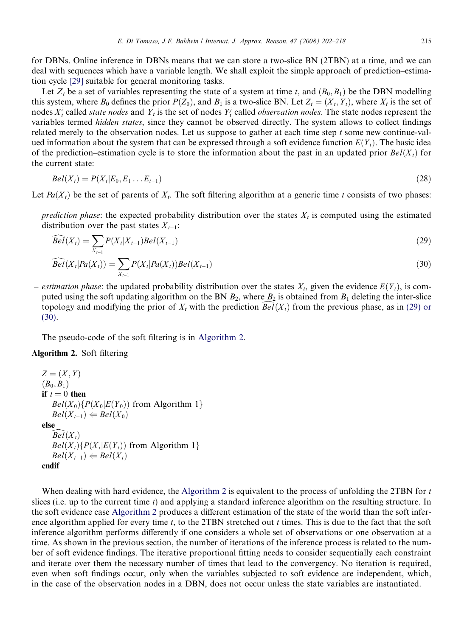for DBNs. Online inference in DBNs means that we can store a two-slice BN (2TBN) at a time, and we can deal with sequences which have a variable length. We shall exploit the simple approach of prediction–estimation cycle [\[29\]](#page-16-0) suitable for general monitoring tasks.

Let  $Z_t$  be a set of variables representing the state of a system at time t, and  $(B_0, B_1)$  be the DBN modelling this system, where  $B_0$  defines the prior  $P(Z_0)$ , and  $B_1$  is a two-slice BN. Let  $Z_t = (X_t, Y_t)$ , where  $X_t$  is the set of nodes  $X_t^i$  called *state nodes* and  $Y_t$  is the set of nodes  $Y_t^j$  called *observation nodes*. The state nodes represent the variables termed hidden states, since they cannot be observed directly. The system allows to collect findings related merely to the observation nodes. Let us suppose to gather at each time step t some new continue-valued information about the system that can be expressed through a soft evidence function  $E(Y_t)$ . The basic idea of the prediction–estimation cycle is to store the information about the past in an updated prior  $Bel(X_t)$  for the current state:

$$
Bel(Xt) = P(Xt|E0, E1...Et-1)
$$
\n(28)

Let  $Pa(X_t)$  be the set of parents of  $X_t$ . The soft filtering algorithm at a generic time t consists of two phases:

– prediction phase: the expected probability distribution over the states  $X_t$  is computed using the estimated distribution over the past states  $X_{t-1}$ :

$$
\widehat{Bel}(X_t) = \sum_{X_{t-1}} P(X_t | X_{t-1}) Bel(X_{t-1})
$$
\n(29)

$$
\widehat{Bel}(X_t|Pa(X_t)) = \sum_{X_{t-1}} P(X_t|Pa(X_t))Bel(X_{t-1})
$$
\n(30)

– estimation phase: the updated probability distribution over the states  $X_t$ , given the evidence  $E(Y_t)$ , is computed using the soft updating algorithm on the BN  $B_2$ , where  $B_2$  is obtained from  $B_1$  deleting the inter-slice topology and modifying the prior of  $X_t$  with the prediction  $Bel(X_t)$  from the previous phase, as in (29) or (30).

The pseudo-code of the soft filtering is in Algorithm 2.

## Algorithm 2. Soft filtering

```
Z = (X, Y)(B_0, B_1)if t = 0 then
   Bel(X_0){P(X_0|E(Y_0)) from Algorithm 1}
   Bel(X_{t-1}) \Leftarrow Bel(X_0)elseBel(X_t)Bel(X_t) \{ P(X_t | E(Y_t)) \text{ from Algorithm 1} \}Bel(X_{t-1}) \Leftarrow Bel(X_t)endif
```
When dealing with hard evidence, the Algorithm 2 is equivalent to the process of unfolding the 2TBN for t slices (i.e. up to the current time t) and applying a standard inference algorithm on the resulting structure. In the soft evidence case Algorithm 2 produces a different estimation of the state of the world than the soft inference algorithm applied for every time  $t$ , to the 2TBN stretched out  $t$  times. This is due to the fact that the soft inference algorithm performs differently if one considers a whole set of observations or one observation at a time. As shown in the previous section, the number of iterations of the inference process is related to the number of soft evidence findings. The iterative proportional fitting needs to consider sequentially each constraint and iterate over them the necessary number of times that lead to the convergency. No iteration is required, even when soft findings occur, only when the variables subjected to soft evidence are independent, which, in the case of the observation nodes in a DBN, does not occur unless the state variables are instantiated.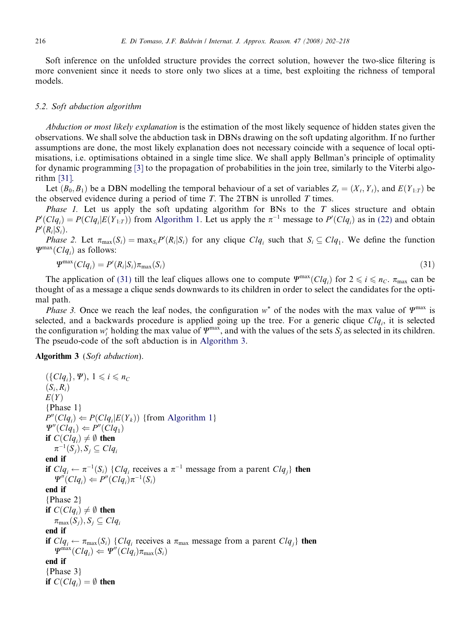Soft inference on the unfolded structure provides the correct solution, however the two-slice filtering is more convenient since it needs to store only two slices at a time, best exploiting the richness of temporal models.

## 5.2. Soft abduction algorithm

Abduction or most likely explanation is the estimation of the most likely sequence of hidden states given the observations. We shall solve the abduction task in DBNs drawing on the soft updating algorithm. If no further assumptions are done, the most likely explanation does not necessary coincide with a sequence of local optimisations, i.e. optimisations obtained in a single time slice. We shall apply Bellman's principle of optimality for dynamic programming [\[3\]](#page-15-0) to the propagation of probabilities in the join tree, similarly to the Viterbi algorithm [\[31\].](#page-16-0)

Let  $(B_0, B_1)$  be a DBN modelling the temporal behaviour of a set of variables  $Z_t = (X_t, Y_t)$ , and  $E(Y_{1:T})$  be the observed evidence during a period of time  $T$ . The 2TBN is unrolled  $T$  times.

*Phase 1.* Let us apply the soft updating algorithm for BNs to the  $T$  slices structure and obtain  $P'(Clq_i) = P(Clq_i|E(Y_{1:T}))$  from [Algorithm 1](#page-8-0). Let us apply the  $\pi^{-1}$  message to  $P'(Clq_i)$  as in [\(22\)](#page-8-0) and obtain  $P'(R_i|S_i)$ .

*Phase 2.* Let  $\pi_{\max}(S_i) = \max_{S_i} P'(R_i|S_i)$  for any clique  $Clq_i$  such that  $S_i \subseteq Clq_1$ . We define the function  $\Psi^{\text{max}}(Clq_i)$  as follows:

$$
\Psi^{\max}(Clq_i) = P'(R_i|S_i)\pi_{\max}(S_i)
$$
\n(31)

The application of (31) till the leaf cliques allows one to compute  $\Psi^{\max}(Clq_i)$  for  $2 \leq i \leq n_C$ .  $\pi_{\max}$  can be thought of as a message a clique sends downwards to its children in order to select the candidates for the optimal path.

*Phase 3.* Once we reach the leaf nodes, the configuration  $w^*$  of the nodes with the max value of  $\varPsi^{\text{max}}$  is selected, and a backwards procedure is applied going up the tree. For a generic clique  $Clq_i$ , it is selected the configuration  $w_i^*$  holding the max value of  $\varPsi^{\max}$ , and with the values of the sets  $S_j$  as selected in its children. The pseudo-code of the soft abduction is in Algorithm 3.

Algorithm 3 (Soft abduction).

```
({\lbrace Clq_i \rbrace}, \Psi), 1 \le i \le n_C(S_i, R_i)E(Y){Phase 1}
P''(Clq_i) \leftarrow P(Clq_i|E(Y_k))Algorithm 1}
\Psi''(Clq_1) \Leftarrow P''(Clq_1)if C(Clq_i) \neq \emptyset then
   \pi^{-1}(S_i), S_j \subseteq Clq_iend if
if Clq_i \leftarrow \pi^{-1}(S_i) \{Clq_i \text{ receives a } \pi^{-1} \text{ message from a parent } Clq_i \} then
    \Psi''(Clq_i) \leftarrow P''(Clq_i)\pi^{-1}(S_i)end if
{Phase 2}
if C(Clq_i) \neq \emptyset then
    \pi_{\max}(S_i), S_i \subseteq Clq_iend if
if Clq_i \leftarrow \pi_{max}(S_i) \{Clq_i receives a \pi_{max} message from a parent Clq_i then
    \Psi^{\text{max}}(Clq_i) \leftarrow \Psi''(Clq_i)\pi_{\text{max}}(S_i)end if
{Phase 3}
if C(Clq_i) = \emptyset then
```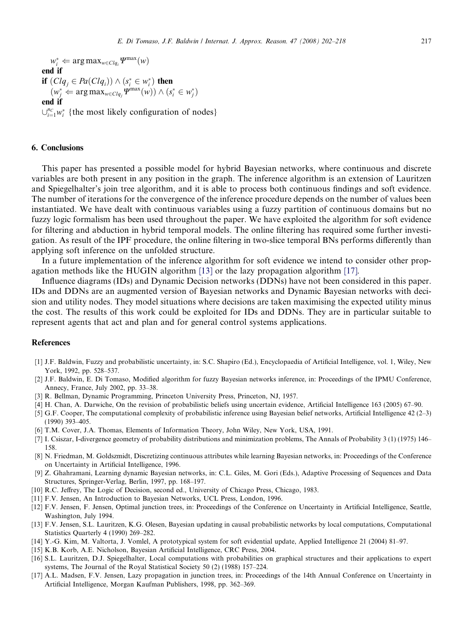<span id="page-15-0"></span> $w_i^* \Leftarrow \argmax_{w \in Clq_i} \Psi^{\max}(w)$ end if if  $(Clq_j \in Pa(Clq_i)) \wedge (s_i^* \in w_i^*)$  then  $(w_j^* \Leftarrow \arg \max_{w \in Clq_j} \Psi^{\max}(w)) \wedge (s_i^* \in w_j^*)$ end if  $\bigcup_{i=1}^{n_C} w_i^*$  {the most likely configuration of nodes}

## 6. Conclusions

This paper has presented a possible model for hybrid Bayesian networks, where continuous and discrete variables are both present in any position in the graph. The inference algorithm is an extension of Lauritzen and Spiegelhalter's join tree algorithm, and it is able to process both continuous findings and soft evidence. The number of iterations for the convergence of the inference procedure depends on the number of values been instantiated. We have dealt with continuous variables using a fuzzy partition of continuous domains but no fuzzy logic formalism has been used throughout the paper. We have exploited the algorithm for soft evidence for filtering and abduction in hybrid temporal models. The online filtering has required some further investigation. As result of the IPF procedure, the online filtering in two-slice temporal BNs performs differently than applying soft inference on the unfolded structure.

In a future implementation of the inference algorithm for soft evidence we intend to consider other propagation methods like the HUGIN algorithm [13] or the lazy propagation algorithm [17].

Influence diagrams (IDs) and Dynamic Decision networks (DDNs) have not been considered in this paper. IDs and DDNs are an augmented version of Bayesian networks and Dynamic Bayesian networks with decision and utility nodes. They model situations where decisions are taken maximising the expected utility minus the cost. The results of this work could be exploited for IDs and DDNs. They are in particular suitable to represent agents that act and plan and for general control systems applications.

#### References

- [1] J.F. Baldwin, Fuzzy and probabilistic uncertainty, in: S.C. Shapiro (Ed.), Encyclopaedia of Artificial Intelligence, vol. 1, Wiley, New York, 1992, pp. 528–537.
- [2] J.F. Baldwin, E. Di Tomaso, Modified algorithm for fuzzy Bayesian networks inference, in: Proceedings of the IPMU Conference, Annecy, France, July 2002, pp. 33–38.
- [3] R. Bellman, Dynamic Programming, Princeton University Press, Princeton, NJ, 1957.
- [4] H. Chan, A. Darwiche, On the revision of probabilistic beliefs using uncertain evidence, Artificial Intelligence 163 (2005) 67–90.
- [5] G.F. Cooper, The computational complexity of probabilistic inference using Bayesian belief networks, Artificial Intelligence 42 (2–3) (1990) 393–405.
- [6] T.M. Cover, J.A. Thomas, Elements of Information Theory, John Wiley, New York, USA, 1991.
- [7] I. Csiszar, I-divergence geometry of probability distributions and minimization problems, The Annals of Probability 3 (1) (1975) 146– 158.
- [8] N. Friedman, M. Goldszmidt, Discretizing continuous attributes while learning Bayesian networks, in: Proceedings of the Conference on Uncertainty in Artificial Intelligence, 1996.
- [9] Z. Ghahramani, Learning dynamic Bayesian networks, in: C.L. Giles, M. Gori (Eds.), Adaptive Processing of Sequences and Data Structures, Springer-Verlag, Berlin, 1997, pp. 168–197.
- [10] R.C. Jeffrey, The Logic of Decision, second ed., University of Chicago Press, Chicago, 1983.
- [11] F.V. Jensen, An Introduction to Bayesian Networks, UCL Press, London, 1996.
- [12] F.V. Jensen, F. Jensen, Optimal junction trees, in: Proceedings of the Conference on Uncertainty in Artificial Intelligence, Seattle, Washington, July 1994.
- [13] F.V. Jensen, S.L. Lauritzen, K.G. Olesen, Bayesian updating in causal probabilistic networks by local computations, Computational Statistics Quarterly 4 (1990) 269–282.
- [14] Y.-G. Kim, M. Valtorta, J. Vomlel, A prototypical system for soft evidential update, Applied Intelligence 21 (2004) 81–97.
- [15] K.B. Korb, A.E. Nicholson, Bayesian Artificial Intelligence, CRC Press, 2004.
- [16] S.L. Lauritzen, D.J. Spiegelhalter, Local computations with probabilities on graphical structures and their applications to expert systems, The Journal of the Royal Statistical Society 50 (2) (1988) 157–224.
- [17] A.L. Madsen, F.V. Jensen, Lazy propagation in junction trees, in: Proceedings of the 14th Annual Conference on Uncertainty in Artificial Intelligence, Morgan Kaufman Publishers, 1998, pp. 362–369.